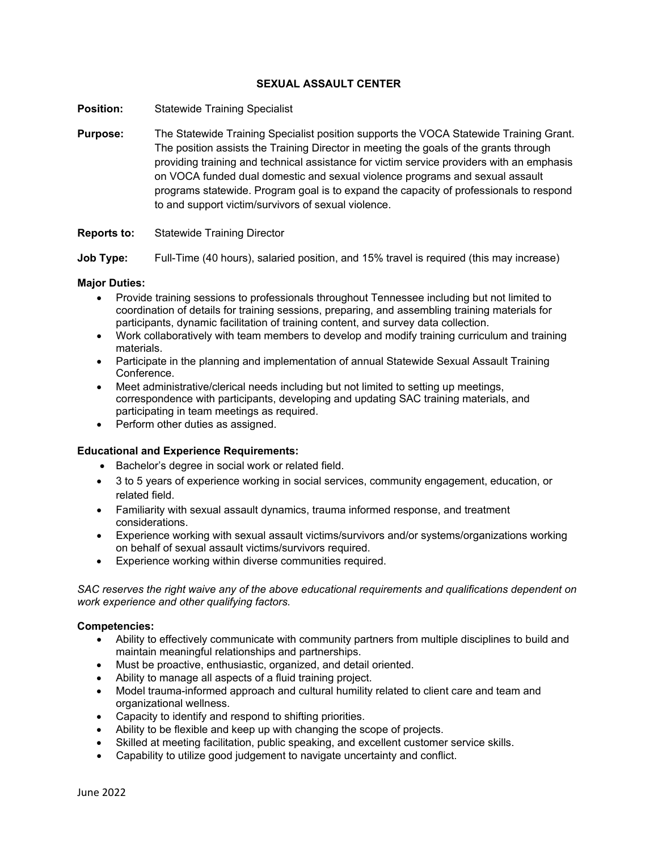# **SEXUAL ASSAULT CENTER**

- **Position:** Statewide Training Specialist
- **Purpose:** The Statewide Training Specialist position supports the VOCA Statewide Training Grant. The position assists the Training Director in meeting the goals of the grants through providing training and technical assistance for victim service providers with an emphasis on VOCA funded dual domestic and sexual violence programs and sexual assault programs statewide. Program goal is to expand the capacity of professionals to respond to and support victim/survivors of sexual violence.

# **Reports to:** Statewide Training Director

**Job Type:** Full-Time (40 hours), salaried position, and 15% travel is required (this may increase)

# **Major Duties:**

- Provide training sessions to professionals throughout Tennessee including but not limited to coordination of details for training sessions, preparing, and assembling training materials for participants, dynamic facilitation of training content, and survey data collection.
- Work collaboratively with team members to develop and modify training curriculum and training materials.
- Participate in the planning and implementation of annual Statewide Sexual Assault Training Conference.
- Meet administrative/clerical needs including but not limited to setting up meetings, correspondence with participants, developing and updating SAC training materials, and participating in team meetings as required.
- Perform other duties as assigned.

### **Educational and Experience Requirements:**

- Bachelor's degree in social work or related field.
- 3 to 5 years of experience working in social services, community engagement, education, or related field.
- Familiarity with sexual assault dynamics, trauma informed response, and treatment considerations.
- Experience working with sexual assault victims/survivors and/or systems/organizations working on behalf of sexual assault victims/survivors required.
- Experience working within diverse communities required.

*SAC reserves the right waive any of the above educational requirements and qualifications dependent on work experience and other qualifying factors.*

### **Competencies:**

- Ability to effectively communicate with community partners from multiple disciplines to build and maintain meaningful relationships and partnerships.
- Must be proactive, enthusiastic, organized, and detail oriented.
- Ability to manage all aspects of a fluid training project.
- Model trauma-informed approach and cultural humility related to client care and team and organizational wellness.
- Capacity to identify and respond to shifting priorities.
- Ability to be flexible and keep up with changing the scope of projects.
- Skilled at meeting facilitation, public speaking, and excellent customer service skills.
- Capability to utilize good judgement to navigate uncertainty and conflict.